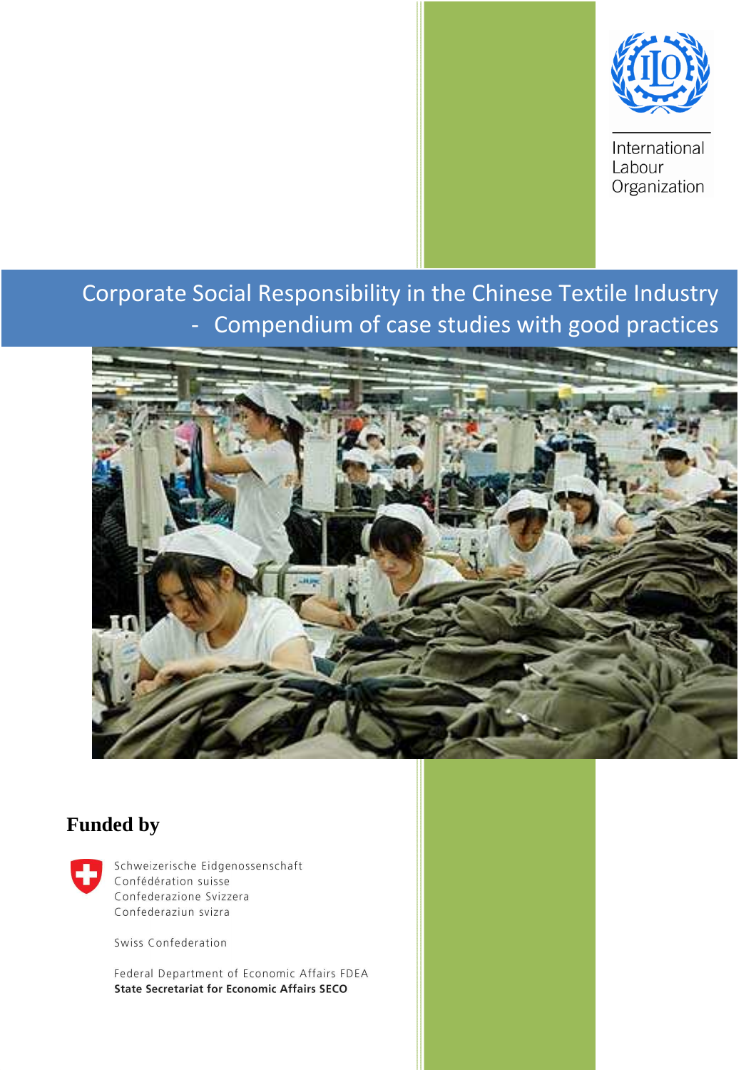

International Labour Organization

## Corporate Social Responsibility in the Chinese Textile Industry - Compendium of case studies with good practices



## **Funded by**



Schweizerische Eidgenossenschaft Confédération suisse Confederazione Svizzera Confederaziun svizra

Swiss Confederation

Federal Department of Economic Affairs FDEA **State Secretariat for Economic Affairs SECO**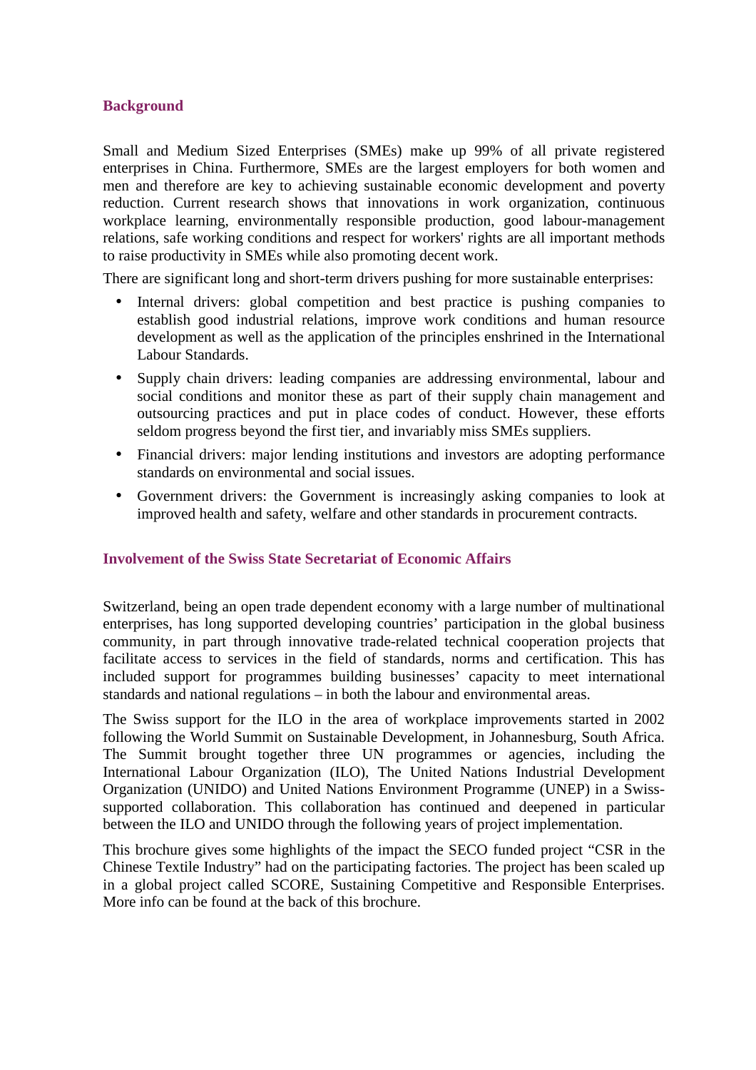#### **Background**

Small and Medium Sized Enterprises (SMEs) make up 99% of all private registered enterprises in China. Furthermore, SMEs are the largest employers for both women and men and therefore are key to achieving sustainable economic development and poverty reduction. Current research shows that innovations in work organization, continuous workplace learning, environmentally responsible production, good labour-management relations, safe working conditions and respect for workers' rights are all important methods to raise productivity in SMEs while also promoting decent work.

There are significant long and short-term drivers pushing for more sustainable enterprises:

- Internal drivers: global competition and best practice is pushing companies to establish good industrial relations, improve work conditions and human resource development as well as the application of the principles enshrined in the International Labour Standards.
- Supply chain drivers: leading companies are addressing environmental, labour and social conditions and monitor these as part of their supply chain management and outsourcing practices and put in place codes of conduct. However, these efforts seldom progress beyond the first tier, and invariably miss SMEs suppliers.
- Financial drivers: major lending institutions and investors are adopting performance standards on environmental and social issues.
- Government drivers: the Government is increasingly asking companies to look at improved health and safety, welfare and other standards in procurement contracts.

#### **Involvement of the Swiss State Secretariat of Economic Affairs**

Switzerland, being an open trade dependent economy with a large number of multinational enterprises, has long supported developing countries' participation in the global business community, in part through innovative trade-related technical cooperation projects that facilitate access to services in the field of standards, norms and certification. This has included support for programmes building businesses' capacity to meet international standards and national regulations – in both the labour and environmental areas.

The Swiss support for the ILO in the area of workplace improvements started in 2002 following the World Summit on Sustainable Development, in Johannesburg, South Africa. The Summit brought together three UN programmes or agencies, including the International Labour Organization (ILO), The United Nations Industrial Development Organization (UNIDO) and United Nations Environment Programme (UNEP) in a Swisssupported collaboration. This collaboration has continued and deepened in particular between the ILO and UNIDO through the following years of project implementation.

This brochure gives some highlights of the impact the SECO funded project "CSR in the Chinese Textile Industry" had on the participating factories. The project has been scaled up in a global project called SCORE, Sustaining Competitive and Responsible Enterprises. More info can be found at the back of this brochure.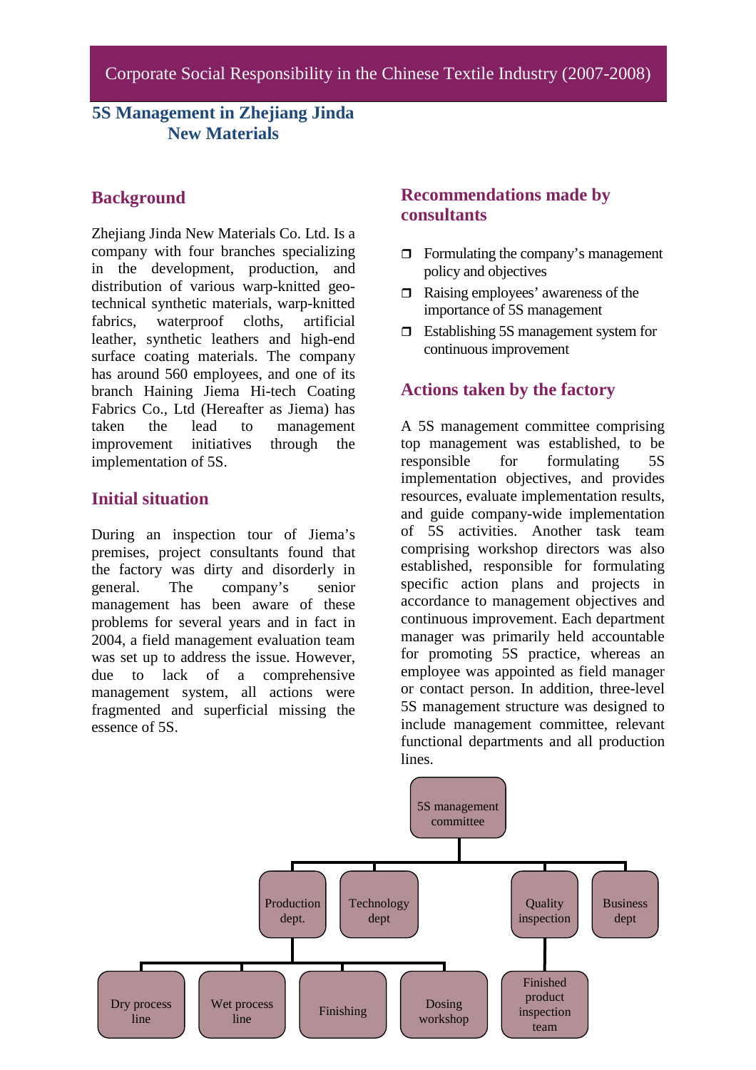## **5S Management in Zhejiang Jinda New Materials**

### **Background**

Zheijang Jinda New Materials Co. Ltd. Is a company with four branches specializing in the development, production, and distribution of various warp-knitted geotechnical synthetic materials, warp-knitted fabrics, waterproof cloths, artificial leather, synthetic leathers and high-end surface coating materials. The company has around 560 employees, and one of its branch Haining Jiema Hi-tech Coating Fabrics Co., Ltd (Hereafter as Jiema) has taken the lead to management improvement initiatives through the implementation of 5S.

### **Initial situation**

During an inspection tour of Jiema's premises, project consultants found that the factory was dirty and disorderly in general. The company's senior management has been aware of these problems for several years and in fact in 2004, a field management evaluation team was set up to address the issue. However, due to lack of a comprehensive management system, all actions were fragmented and superficial missing the essence of 5S.

### **Recommendations made by consultants**

- $\Box$  Formulating the company's management policy and objectives
- $\Box$  Raising employees' awareness of the importance of 5S management
- □ Establishing 5S management system for continuous improvement

## **Actions taken by the factory**

A 5S management committee comprising top management was established, to be responsible for formulating 5S implementation objectives, and provides resources, evaluate implementation results, and guide company-wide implementation of 5S activities. Another task team comprising workshop directors was also established, responsible for formulating specific action plans and projects in accordance to management objectives and continuous improvement. Each department manager was primarily held accountable for promoting 5S practice, whereas an employee was appointed as field manager or contact person. In addition, three-level 5S management structure was designed to include management committee, relevant functional departments and all production lines.

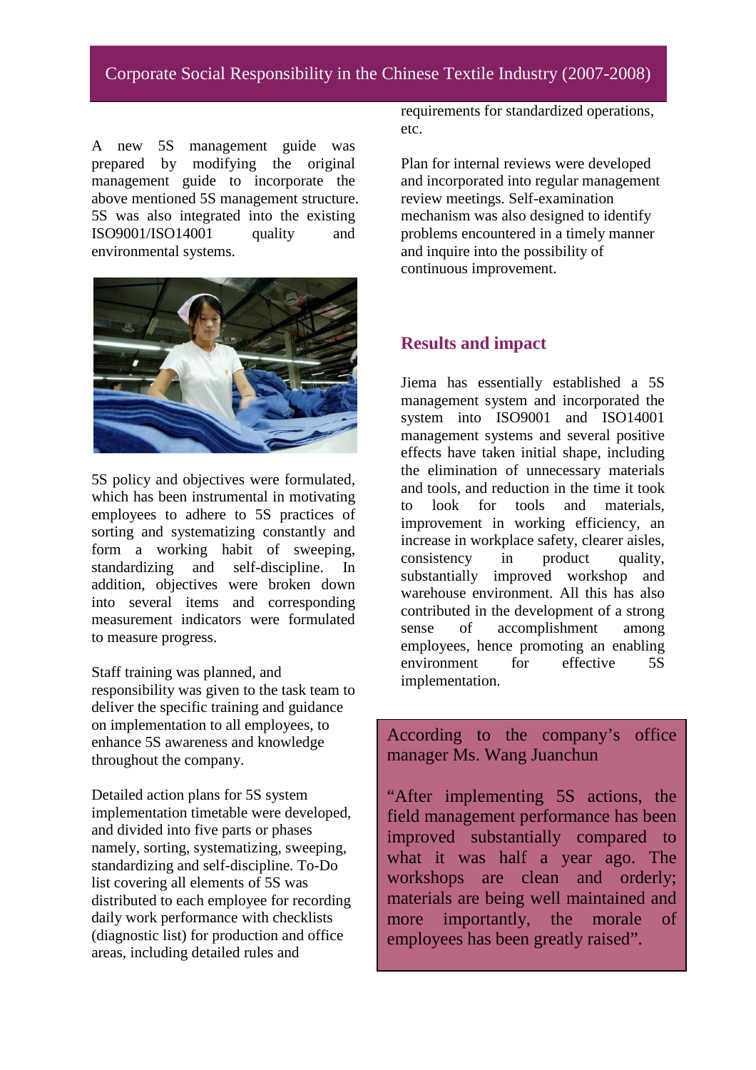## Corporate Social Responsibility in the Chinese Textile Industry (2007-2008)

A new 5S management guide was prepared by modifying the original management guide to incorporate the above mentioned 5S management structure. 5S was also integrated into the existing ISO9001/ISO14001 quality and environmental systems.



5S policy and objectives were formulated, which has been instrumental in motivating employees to adhere to 5S practices of sorting and systematizing constantly and form a working habit of sweeping, standardizing and self-discipline. In addition, objectives were broken down into several items and corresponding measurement indicators were formulated to measure progress.

Staff training was planned, and responsibility was given to the task team to deliver the specific training and guidance on implementation to all employees, to enhance 5S awareness and knowledge throughout the company.

Detailed action plans for 5S system implementation timetable were developed, and divided into five parts or phases namely, sorting, systematizing, sweeping, standardizing and self-discipline. To-Do list covering all elements of 5S was distributed to each employee for recording daily work performance with checklists (diagnostic list) for production and office areas, including detailed rules and

requirements for standardized operations, etc.

Plan for internal reviews were developed and incorporated into regular management review meetings. Self-examination mechanism was also designed to identify problems encountered in a timely manner and inquire into the possibility of continuous improvement.

#### **Results and impact**

Jiema has essentially established a 5S management system and incorporated the system into ISO9001 and ISO14001 management systems and several positive effects have taken initial shape, including the elimination of unnecessary materials and tools, and reduction in the time it took to look for tools and materials, improvement in working efficiency, an increase in workplace safety, clearer aisles, consistency in product quality, substantially improved workshop and warehouse environment. All this has also contributed in the development of a strong sense of accomplishment among employees, hence promoting an enabling environment for effective 5S implementation.

According to the company's office manager Ms. Wang Juanchun

"After implementing 5S actions, the field management performance has been improved substantially compared to what it was half a year ago. The workshops are clean and orderly; materials are being well maintained and more importantly, the morale of employees has been greatly raised".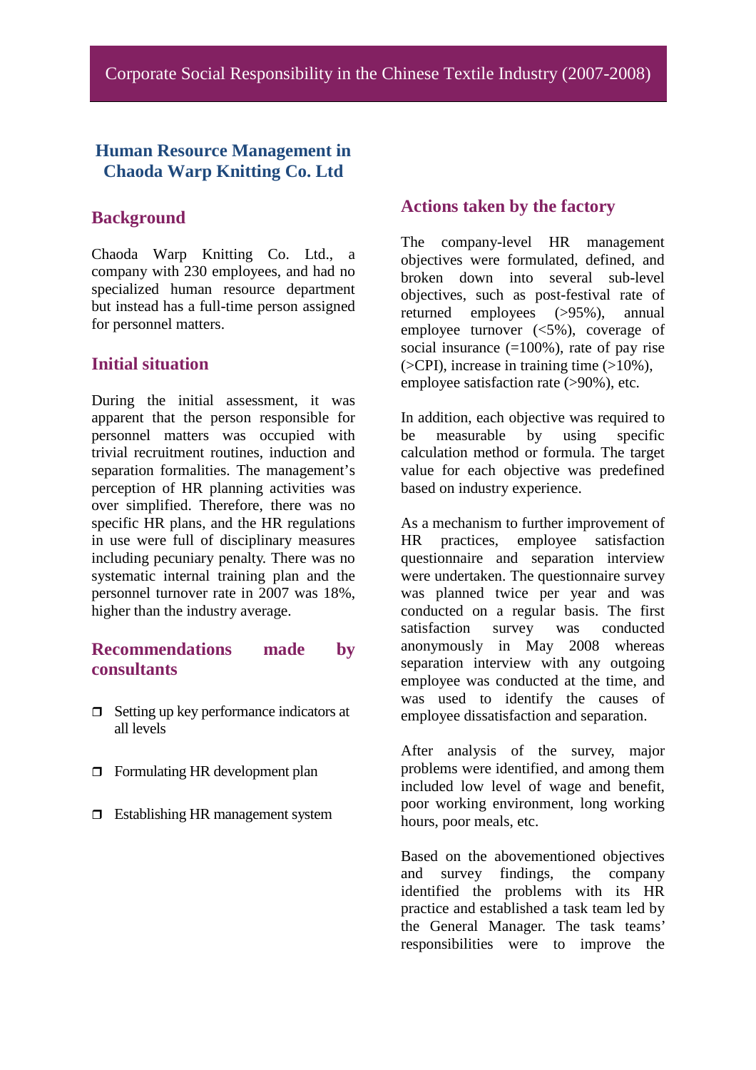#### **Human Resource Management in Chaoda Warp Knitting Co. Ltd**

#### **Background**

Chaoda Warp Knitting Co. Ltd., a company with 230 employees, and had no specialized human resource department but instead has a full-time person assigned for personnel matters.

#### **Initial situation**

During the initial assessment, it was apparent that the person responsible for personnel matters was occupied with trivial recruitment routines, induction and separation formalities. The management's perception of HR planning activities was over simplified. Therefore, there was no specific HR plans, and the HR regulations in use were full of disciplinary measures including pecuniary penalty. There was no systematic internal training plan and the personnel turnover rate in 2007 was 18%, higher than the industry average.

#### **Recommendations made by consultants**

- $\Box$  Setting up key performance indicators at all levels
- $\Box$  Formulating HR development plan
- $\Box$  Establishing HR management system

#### **Actions taken by the factory**

The company-level HR management objectives were formulated, defined, and broken down into several sub-level objectives, such as post-festival rate of returned employees (>95%), annual employee turnover (<5%), coverage of social insurance  $(=100\%)$ , rate of pay rise  $(SCPI)$ , increase in training time  $(S10\%)$ , employee satisfaction rate (>90%), etc.

In addition, each objective was required to be measurable by using specific calculation method or formula. The target value for each objective was predefined based on industry experience.

As a mechanism to further improvement of HR practices, employee satisfaction questionnaire and separation interview were undertaken. The questionnaire survey was planned twice per year and was conducted on a regular basis. The first satisfaction survey was conducted anonymously in May 2008 whereas separation interview with any outgoing employee was conducted at the time, and was used to identify the causes of employee dissatisfaction and separation.

After analysis of the survey, major problems were identified, and among them included low level of wage and benefit, poor working environment, long working hours, poor meals, etc.

Based on the abovementioned objectives and survey findings, the company identified the problems with its HR practice and established a task team led by the General Manager. The task teams' responsibilities were to improve the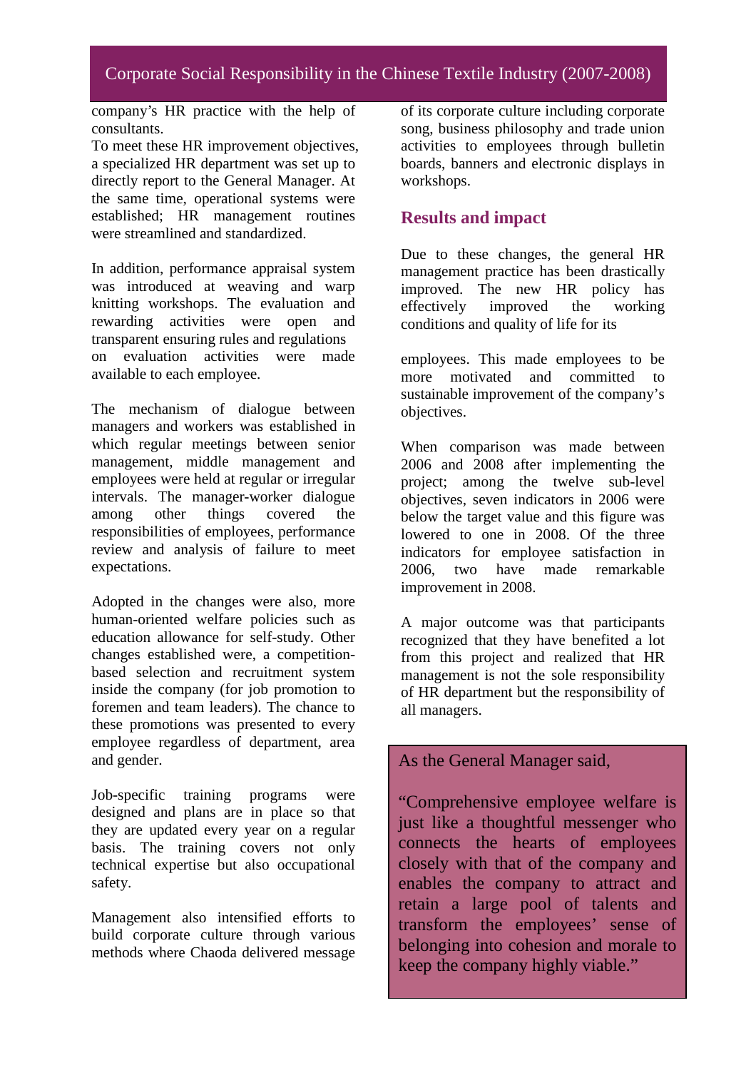company's HR practice with the help of consultants.

To meet these HR improvement objectives, a specialized HR department was set up to directly report to the General Manager. At the same time, operational systems were established; HR management routines were streamlined and standardized.

In addition, performance appraisal system was introduced at weaving and warp knitting workshops. The evaluation and rewarding activities were open and transparent ensuring rules and regulations on evaluation activities were made available to each employee.

The mechanism of dialogue between managers and workers was established in which regular meetings between senior management, middle management and employees were held at regular or irregular intervals. The manager-worker dialogue among other things covered the responsibilities of employees, performance review and analysis of failure to meet expectations.

Adopted in the changes were also, more human-oriented welfare policies such as education allowance for self-study. Other changes established were, a competitionbased selection and recruitment system inside the company (for job promotion to foremen and team leaders). The chance to these promotions was presented to every employee regardless of department, area and gender.

Job-specific training programs were designed and plans are in place so that they are updated every year on a regular basis. The training covers not only technical expertise but also occupational safety.

Management also intensified efforts to build corporate culture through various methods where Chaoda delivered message

of its corporate culture including corporate song, business philosophy and trade union activities to employees through bulletin boards, banners and electronic displays in workshops.

## **Results and impact**

Due to these changes, the general HR management practice has been drastically improved. The new HR policy has effectively improved the working conditions and quality of life for its

employees. This made employees to be more motivated and committed to sustainable improvement of the company's objectives.

When comparison was made between 2006 and 2008 after implementing the project; among the twelve sub-level objectives, seven indicators in 2006 were below the target value and this figure was lowered to one in 2008. Of the three indicators for employee satisfaction in 2006, two have made remarkable improvement in 2008.

A major outcome was that participants recognized that they have benefited a lot from this project and realized that HR management is not the sole responsibility of HR department but the responsibility of all managers.

### As the General Manager said,

"Comprehensive employee welfare is just like a thoughtful messenger who connects the hearts of employees closely with that of the company and enables the company to attract and retain a large pool of talents and transform the employees' sense of belonging into cohesion and morale to keep the company highly viable."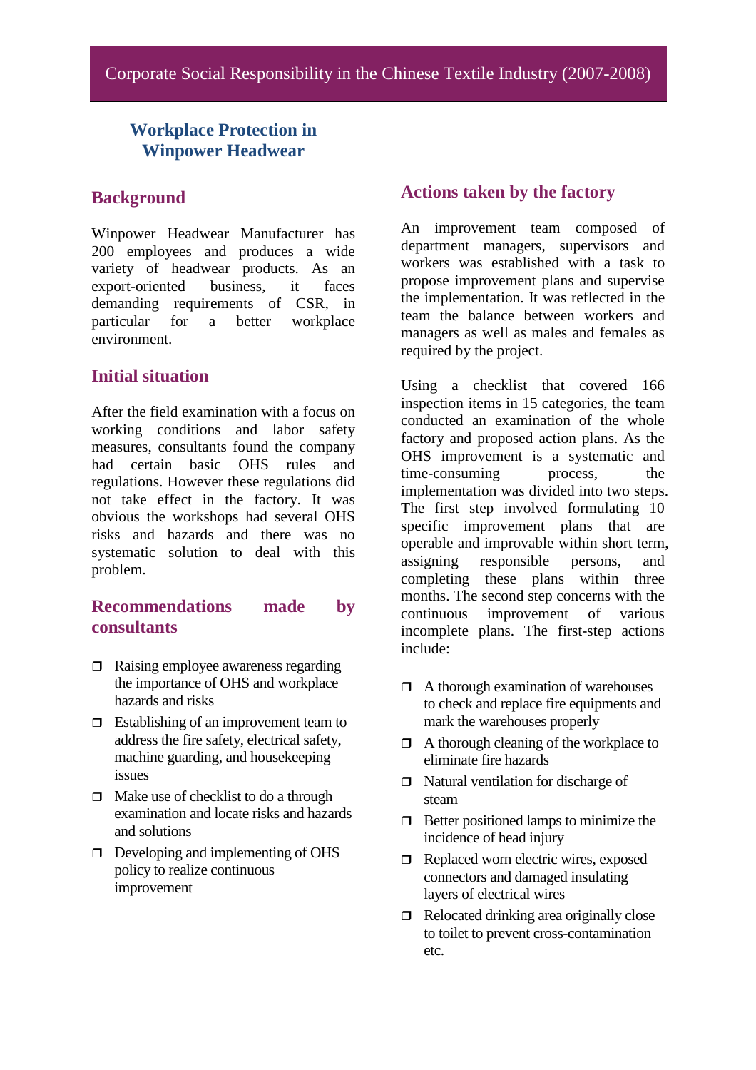## **Workplace Protection in Winpower Headwear**

#### **Background**

Winpower Headwear Manufacturer has 200 employees and produces a wide variety of headwear products. As an export-oriented business, it faces demanding requirements of CSR, in particular for a better workplace environment.

#### **Initial situation**

After the field examination with a focus on working conditions and labor safety measures, consultants found the company had certain basic OHS rules and regulations. However these regulations did not take effect in the factory. It was obvious the workshops had several OHS risks and hazards and there was no systematic solution to deal with this problem.

#### **Recommendations made by consultants**

- $\Box$  Raising employee awareness regarding the importance of OHS and workplace hazards and risks
- $\Box$  Establishing of an improvement team to address the fire safety, electrical safety, machine guarding, and housekeeping issues
- $\Box$  Make use of checklist to do a through examination and locate risks and hazards and solutions
- $\Box$  Developing and implementing of OHS policy to realize continuous improvement

#### **Actions taken by the factory**

An improvement team composed of department managers, supervisors and workers was established with a task to propose improvement plans and supervise the implementation. It was reflected in the team the balance between workers and managers as well as males and females as required by the project.

Using a checklist that covered 166 inspection items in 15 categories, the team conducted an examination of the whole factory and proposed action plans. As the OHS improvement is a systematic and time-consuming process, the implementation was divided into two steps. The first step involved formulating 10 specific improvement plans that are operable and improvable within short term, assigning responsible persons, and completing these plans within three months. The second step concerns with the continuous improvement of various incomplete plans. The first-step actions include:

- $\Box$  A thorough examination of warehouses to check and replace fire equipments and mark the warehouses properly
- $\Box$  A thorough cleaning of the workplace to eliminate fire hazards
- $\Box$  Natural ventilation for discharge of steam
- $\Box$  Better positioned lamps to minimize the incidence of head injury
- $\Box$  Replaced worn electric wires, exposed connectors and damaged insulating layers of electrical wires
- $\Box$  Relocated drinking area originally close to toilet to prevent cross-contamination etc.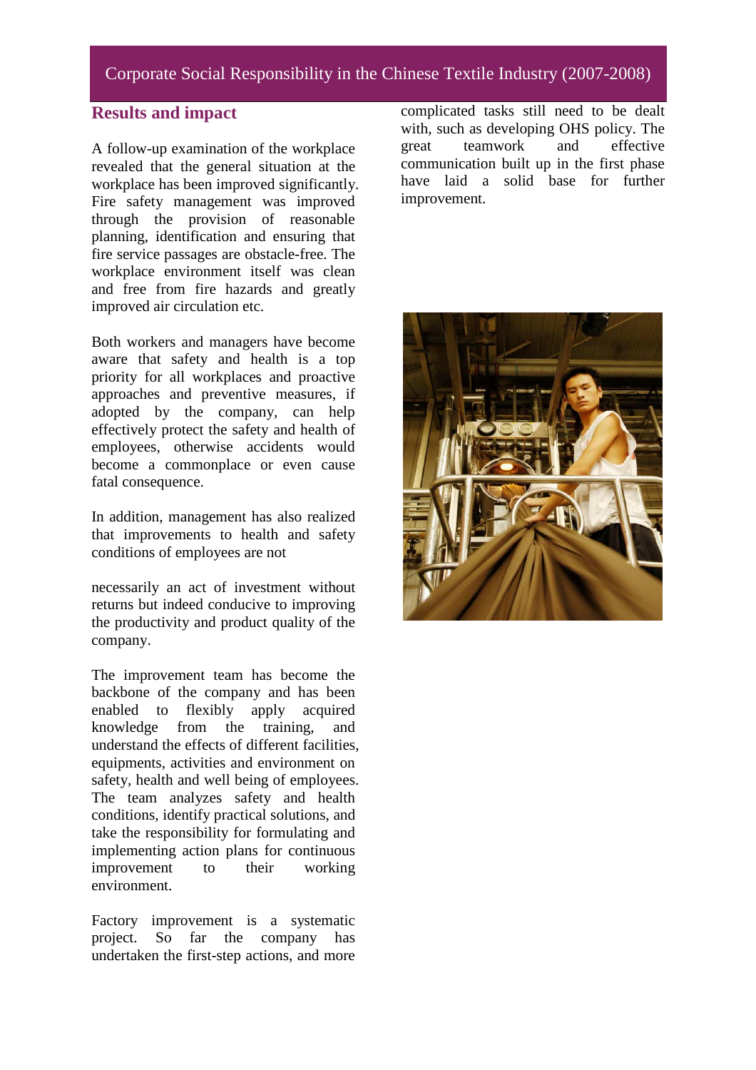## Corporate Social Responsibility in the Chinese Textile Industry (2007-2008)

#### **Results and impact**

A follow-up examination of the workplace revealed that the general situation at the workplace has been improved significantly. Fire safety management was improved through the provision of reasonable planning, identification and ensuring that fire service passages are obstacle-free. The workplace environment itself was clean and free from fire hazards and greatly improved air circulation etc.

Both workers and managers have become aware that safety and health is a top priority for all workplaces and proactive approaches and preventive measures, if adopted by the company, can help effectively protect the safety and health of employees, otherwise accidents would become a commonplace or even cause fatal consequence.

In addition, management has also realized that improvements to health and safety conditions of employees are not

necessarily an act of investment without returns but indeed conducive to improving the productivity and product quality of the company.

The improvement team has become the backbone of the company and has been enabled to flexibly apply acquired knowledge from the training, and understand the effects of different facilities, equipments, activities and environment on safety, health and well being of employees. The team analyzes safety and health conditions, identify practical solutions, and take the responsibility for formulating and implementing action plans for continuous improvement to their working environment.

Factory improvement is a systematic project. So far the company has undertaken the first-step actions, and more

complicated tasks still need to be dealt with, such as developing OHS policy. The great teamwork and effective communication built up in the first phase have laid a solid base for further improvement.

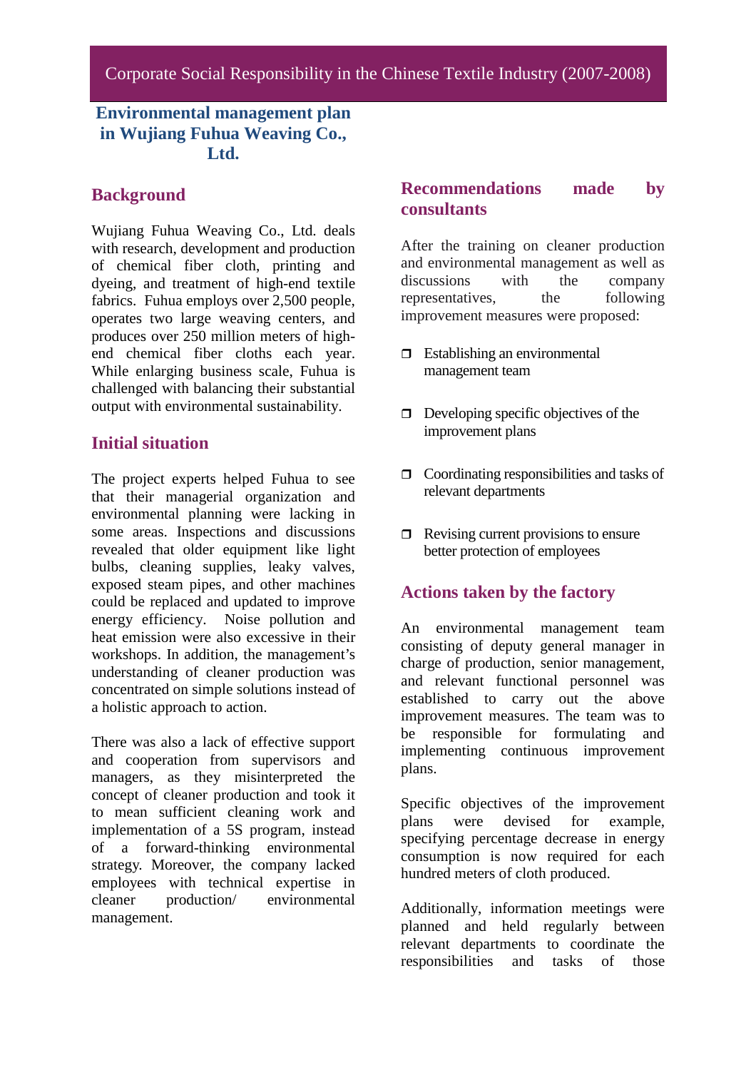## **Environmental management plan in Wujiang Fuhua Weaving Co., Ltd.**

### **Background**

Wujiang Fuhua Weaving Co., Ltd. deals with research, development and production of chemical fiber cloth, printing and dyeing, and treatment of high-end textile fabrics. Fuhua employs over 2,500 people, operates two large weaving centers, and produces over 250 million meters of highend chemical fiber cloths each year. While enlarging business scale, Fuhua is challenged with balancing their substantial output with environmental sustainability.

#### **Initial situation**

The project experts helped Fuhua to see that their managerial organization and environmental planning were lacking in some areas. Inspections and discussions revealed that older equipment like light bulbs, cleaning supplies, leaky valves, exposed steam pipes, and other machines could be replaced and updated to improve energy efficiency. Noise pollution and heat emission were also excessive in their workshops. In addition, the management's understanding of cleaner production was concentrated on simple solutions instead of a holistic approach to action.

There was also a lack of effective support and cooperation from supervisors and managers, as they misinterpreted the concept of cleaner production and took it to mean sufficient cleaning work and implementation of a 5S program, instead of a forward-thinking environmental strategy. Moreover, the company lacked employees with technical expertise in cleaner production/ environmental cleaner production/ environmental management.

## **Recommendations made by consultants**

After the training on cleaner production and environmental management as well as discussions with the company representatives, the following improvement measures were proposed:

- $\Box$  Establishing an environmental management team
- $\Box$  Developing specific objectives of the improvement plans
- $\Box$  Coordinating responsibilities and tasks of relevant departments
- $\Box$  Revising current provisions to ensure better protection of employees

#### **Actions taken by the factory**

An environmental management team consisting of deputy general manager in charge of production, senior management, and relevant functional personnel was established to carry out the above improvement measures. The team was to be responsible for formulating and implementing continuous improvement plans.

Specific objectives of the improvement plans were devised for example, specifying percentage decrease in energy consumption is now required for each hundred meters of cloth produced.

Additionally, information meetings were planned and held regularly between relevant departments to coordinate the responsibilities and tasks of those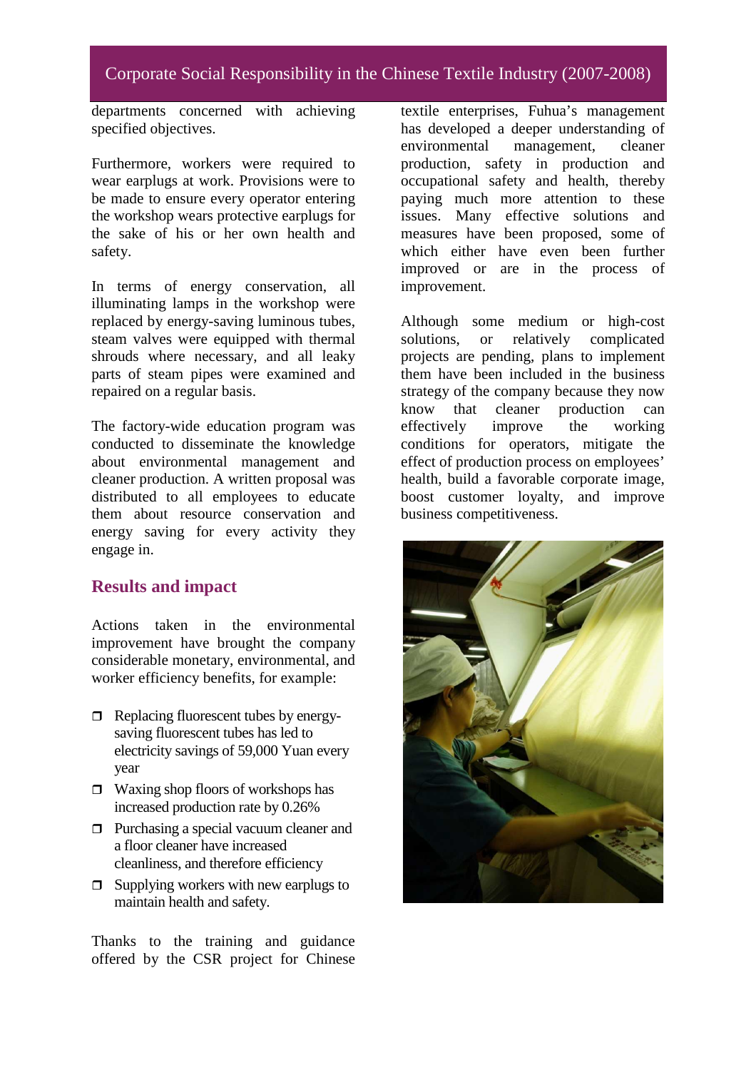departments concerned with achieving specified objectives.

Furthermore, workers were required to wear earplugs at work. Provisions were to be made to ensure every operator entering the workshop wears protective earplugs for the sake of his or her own health and safety.

In terms of energy conservation, all illuminating lamps in the workshop were replaced by energy-saving luminous tubes, steam valves were equipped with thermal shrouds where necessary, and all leaky parts of steam pipes were examined and repaired on a regular basis.

The factory-wide education program was conducted to disseminate the knowledge about environmental management and cleaner production. A written proposal was distributed to all employees to educate them about resource conservation and energy saving for every activity they engage in.

## **Results and impact**

Actions taken in the environmental improvement have brought the company considerable monetary, environmental, and worker efficiency benefits, for example:

- $\Box$  Replacing fluorescent tubes by energysaving fluorescent tubes has led to electricity savings of 59,000 Yuan every year
- $\Box$  Waxing shop floors of workshops has increased production rate by 0.26%
- **Purchasing a special vacuum cleaner and** a floor cleaner have increased cleanliness, and therefore efficiency
- $\Box$  Supplying workers with new earplugs to maintain health and safety.

Thanks to the training and guidance offered by the CSR project for Chinese textile enterprises, Fuhua's management has developed a deeper understanding of environmental management, cleaner production, safety in production and occupational safety and health, thereby paying much more attention to these issues. Many effective solutions and measures have been proposed, some of which either have even been further improved or are in the process of improvement.

Although some medium or high-cost solutions, or relatively complicated projects are pending, plans to implement them have been included in the business strategy of the company because they now know that cleaner production can effectively improve the working conditions for operators, mitigate the effect of production process on employees' health, build a favorable corporate image, boost customer loyalty, and improve business competitiveness.

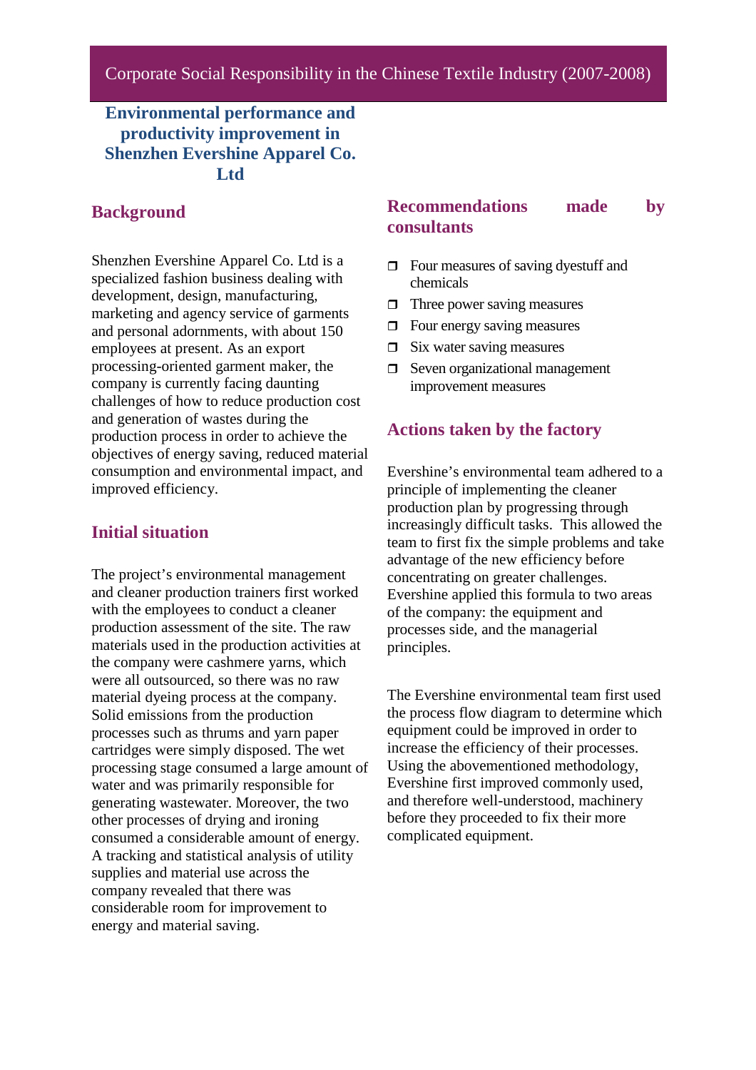## **Environmental performance and productivity improvement in Shenzhen Evershine Apparel Co. Ltd**

#### **Background**

Shenzhen Evershine Apparel Co. Ltd is a specialized fashion business dealing with development, design, manufacturing, marketing and agency service of garments and personal adornments, with about 150 employees at present. As an export processing-oriented garment maker, the company is currently facing daunting challenges of how to reduce production cost and generation of wastes during the production process in order to achieve the objectives of energy saving, reduced material consumption and environmental impact, and improved efficiency.

#### **Initial situation**

The project's environmental management and cleaner production trainers first worked with the employees to conduct a cleaner production assessment of the site. The raw materials used in the production activities at the company were cashmere yarns, which were all outsourced, so there was no raw material dyeing process at the company. Solid emissions from the production processes such as thrums and yarn paper cartridges were simply disposed. The wet processing stage consumed a large amount of water and was primarily responsible for generating wastewater. Moreover, the two other processes of drying and ironing consumed a considerable amount of energy. A tracking and statistical analysis of utility supplies and material use across the company revealed that there was considerable room for improvement to energy and material saving.

## **Recommendations made by consultants**

- $\Box$  Four measures of saving dyestuff and chemicals
- $\Box$  Three power saving measures
- $\Box$  Four energy saving measures
- $\Box$  Six water saving measures
- $\Box$  Seven organizational management improvement measures

#### **Actions taken by the factory**

Evershine's environmental team adhered to a principle of implementing the cleaner production plan by progressing through increasingly difficult tasks. This allowed the team to first fix the simple problems and take advantage of the new efficiency before concentrating on greater challenges. Evershine applied this formula to two areas of the company: the equipment and processes side, and the managerial principles.

The Evershine environmental team first used the process flow diagram to determine which equipment could be improved in order to increase the efficiency of their processes. Using the abovementioned methodology, Evershine first improved commonly used, and therefore well-understood, machinery before they proceeded to fix their more complicated equipment.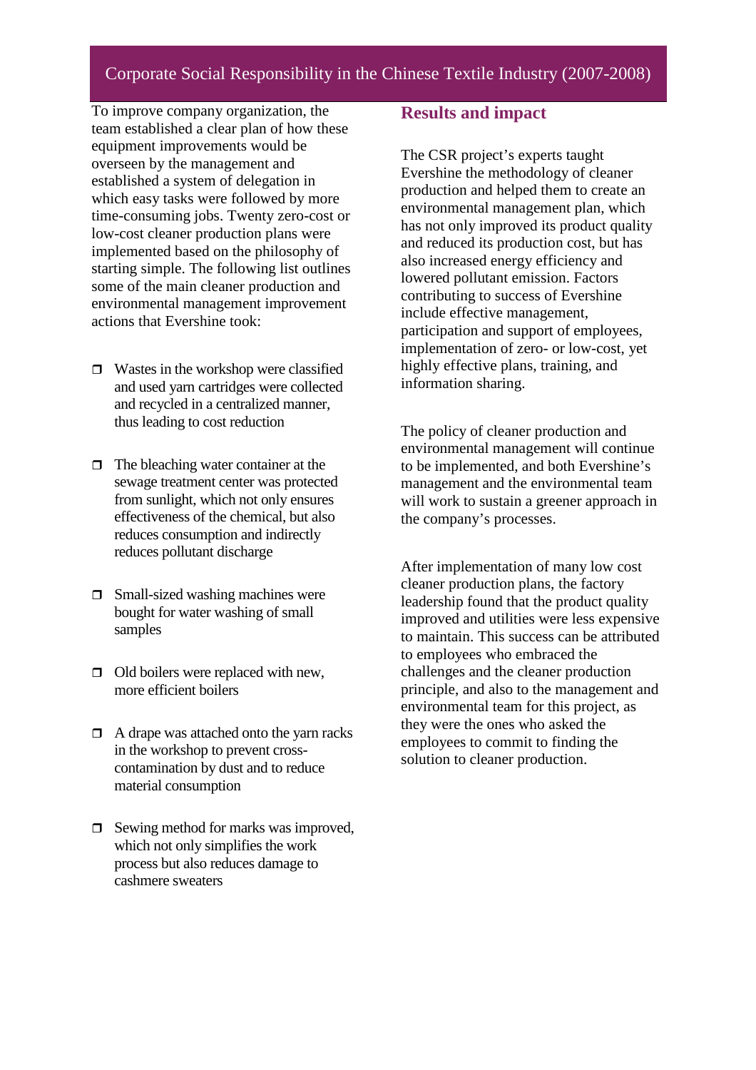## Corporate Social Responsibility in the Chinese Textile Industry (2007-2008)

To improve company organization, the team established a clear plan of how these equipment improvements would be overseen by the management and established a system of delegation in which easy tasks were followed by more time-consuming jobs. Twenty zero-cost or low-cost cleaner production plans were implemented based on the philosophy of starting simple. The following list outlines some of the main cleaner production and environmental management improvement actions that Evershine took:

- $\Box$  Wastes in the workshop were classified and used yarn cartridges were collected and recycled in a centralized manner, thus leading to cost reduction
- $\Box$  The bleaching water container at the sewage treatment center was protected from sunlight, which not only ensures effectiveness of the chemical, but also reduces consumption and indirectly reduces pollutant discharge
- $\Box$  Small-sized washing machines were bought for water washing of small samples
- $\Box$  Old boilers were replaced with new, more efficient boilers
- $\Box$  A drape was attached onto the yarn racks in the workshop to prevent crosscontamination by dust and to reduce material consumption
- $\Box$  Sewing method for marks was improved, which not only simplifies the work process but also reduces damage to cashmere sweaters

#### **Results and impact**

The CSR project's experts taught Evershine the methodology of cleaner production and helped them to create an environmental management plan, which has not only improved its product quality and reduced its production cost, but has also increased energy efficiency and lowered pollutant emission. Factors contributing to success of Evershine include effective management, participation and support of employees, implementation of zero- or low-cost, yet highly effective plans, training, and information sharing.

The policy of cleaner production and environmental management will continue to be implemented, and both Evershine's management and the environmental team will work to sustain a greener approach in the company's processes.

After implementation of many low cost cleaner production plans, the factory leadership found that the product quality improved and utilities were less expensive to maintain. This success can be attributed to employees who embraced the challenges and the cleaner production principle, and also to the management and environmental team for this project, as they were the ones who asked the employees to commit to finding the solution to cleaner production.